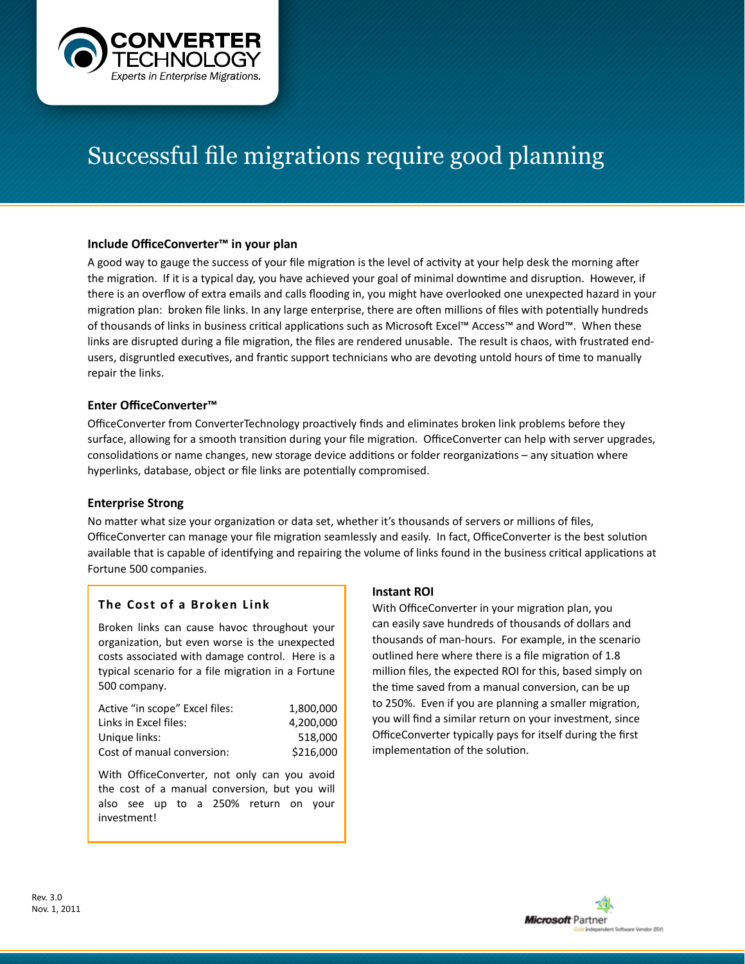

# Successful file migrations require good planning

## **Include OfficeConverter™ in your plan**

A good way to gauge the success of your file migration is the level of activity at your help desk the morning after the migration. If it is a typical day, you have achieved your goal of minimal downtime and disruption. However, if there is an overflow of extra emails and calls flooding in, you might have overlooked one unexpected hazard in your migration plan: broken file links. In any large enterprise, there are often millions of files with potentially hundreds of thousands of links in business critical applications such as Microsoft Excel™ Access™ and Word™. When these links are disrupted during a file migration, the files are rendered unusable. The result is chaos, with frustrated endusers, disgruntled executives, and frantic support technicians who are devoting untold hours of time to manually repair the links.

## **Enter OfficeConverter™**

OfficeConverter from ConverterTechnology proactively finds and eliminates broken link problems before they surface, allowing for a smooth transition during your file migration. OfficeConverter can help with server upgrades, consolidations or name changes, new storage device additions or folder reorganizations – any situation where hyperlinks, database, object or file links are potentially compromised.

## **Enterprise Strong**

No matter what size your organization or data set, whether it's thousands of servers or millions of files, OfficeConverter can manage your file migration seamlessly and easily. In fact, OfficeConverter is the best solution available that is capable of identifying and repairing the volume of links found in the business critical applications at Fortune 500 companies.

## **The Cost of a Broken Link**

Broken links can cause havoc throughout your organization, but even worse is the unexpected costs associated with damage control. Here is a typical scenario for a file migration in a Fortune 500 company.

| Active "in scope" Excel files: | 1.800.000 |
|--------------------------------|-----------|
| Links in Excel files:          | 4.200.000 |
| Unique links:                  | 518.000   |
| Cost of manual conversion:     | \$216,000 |

With OfficeConverter, not only can you avoid the cost of a manual conversion, but you will also see up to a 250% return on your investment!

#### **Instant ROI**

With OfficeConverter in your migration plan, you can easily save hundreds of thousands of dollars and thousands of man-hours. For example, in the scenario outlined here where there is a file migration of 1.8 million files, the expected ROI for this, based simply on the time saved from a manual conversion, can be up to 250%. Even if you are planning a smaller migration, you will find a similar return on your investment, since OfficeConverter typically pays for itself during the first implementation of the solution.